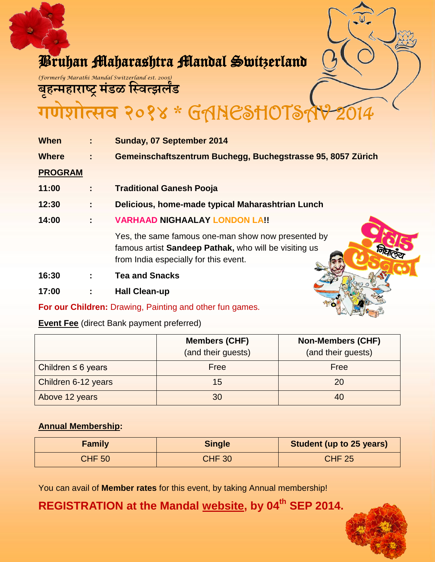

# Bruhan Maharashtra Mandal Switzerland

*(Formerly Marathi Mandal Switzerland est. 2005)*

**ब ृहन्महाराष्ट्र मंडळ स्वित्झर्लंड**

गेशोत्सव २०१४ \* GANESHOTSÅ

| <b>When</b>    | ÷.             | Sunday, 07 September 2014                                                                                                                            |
|----------------|----------------|------------------------------------------------------------------------------------------------------------------------------------------------------|
| <b>Where</b>   | $\mathbb{R}^2$ | Gemeinschaftszentrum Buchegg, Buchegstrasse 95, 8057 Zürich                                                                                          |
| <b>PROGRAM</b> |                |                                                                                                                                                      |
| 11:00          | ÷              | <b>Traditional Ganesh Pooja</b>                                                                                                                      |
| 12:30          |                | Delicious, home-made typical Maharashtrian Lunch                                                                                                     |
| 14:00          | ÷              | <b>VARHAAD NIGHAALAY LONDON LA!!</b>                                                                                                                 |
|                |                | Yes, the same famous one-man show now presented by<br>famous artist Sandeep Pathak, who will be visiting us<br>from India especially for this event. |
| 16:30          | ÷              | <b>Tea and Snacks</b>                                                                                                                                |
| 17:00          |                | <b>Hall Clean-up</b>                                                                                                                                 |

**For our Children:** Drawing, Painting and other fun games.

## **Event Fee** (direct Bank payment preferred)

|                         | <b>Members (CHF)</b><br>(and their guests) | <b>Non-Members (CHF)</b><br>(and their guests) |
|-------------------------|--------------------------------------------|------------------------------------------------|
| Children $\leq 6$ years | Free                                       | Free                                           |
| Children 6-12 years     | 15                                         | 20                                             |
| Above 12 years          | 30                                         | 40                                             |

# **Annual Membership:**

| <b>Family</b> | <b>Single</b> | <b>Student (up to 25 years)</b> |
|---------------|---------------|---------------------------------|
| <b>CHF 50</b> | <b>CHF 30</b> | <b>CHF 25</b>                   |

You can avail of **Member rates** for this event, by taking Annual membership!

**REGISTRATION at the Mandal [website,](http://www.marathimandal-switzerland.com/home) by 04th SEP 2014.**